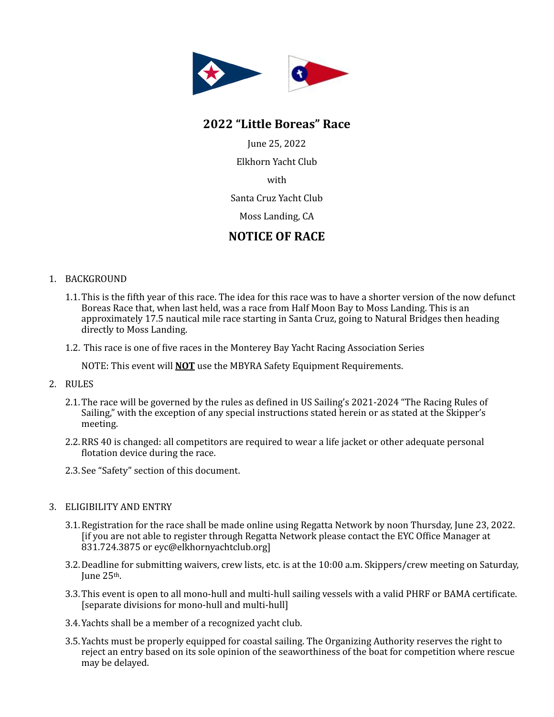

# **2022 "Little Boreas" Race**

June 25, 2022 Elkhorn Yacht Club

with

Santa Cruz Yacht Club

Moss Landing, CA

# **NOTICE OF RACE**

# 1. BACKGROUND

- 1.1. This is the fifth year of this race. The idea for this race was to have a shorter version of the now defunct Boreas Race that, when last held, was a race from Half Moon Bay to Moss Landing. This is an approximately 17.5 nautical mile race starting in Santa Cruz, going to Natural Bridges then heading directly to Moss Landing.
- 1.2. This race is one of five races in the Monterey Bay Yacht Racing Association Series

NOTE: This event will **NOT** use the MBYRA Safety Equipment Requirements.

- 2. RULES
	- 2.1. The race will be governed by the rules as defined in US Sailing's 2021-2024 "The Racing Rules of Sailing," with the exception of any special instructions stated herein or as stated at the Skipper's meeting.
	- 2.2. RRS 40 is changed: all competitors are required to wear a life jacket or other adequate personal flotation device during the race.
	- 2.3. See "Safety" section of this document.

#### 3. ELIGIBILITY AND ENTRY

- 3.1. Registration for the race shall be made online using Regatta Network by noon Thursday, June 23, 2022. lif you are not able to register through Regatta Network please contact the EYC Office Manager at 831.724.3875 or eyc@elkhornyachtclub.org]
- 3.2. Deadline for submitting waivers, crew lists, etc. is at the 10:00 a.m. Skippers/crew meeting on Saturday, June 25th.
- 3.3. This event is open to all mono-hull and multi-hull sailing vessels with a valid PHRF or BAMA certificate. [separate divisions for mono-hull and multi-hull]
- 3.4. Yachts shall be a member of a recognized vacht club.
- 3.5. Yachts must be properly equipped for coastal sailing. The Organizing Authority reserves the right to reject an entry based on its sole opinion of the seaworthiness of the boat for competition where rescue may be delayed.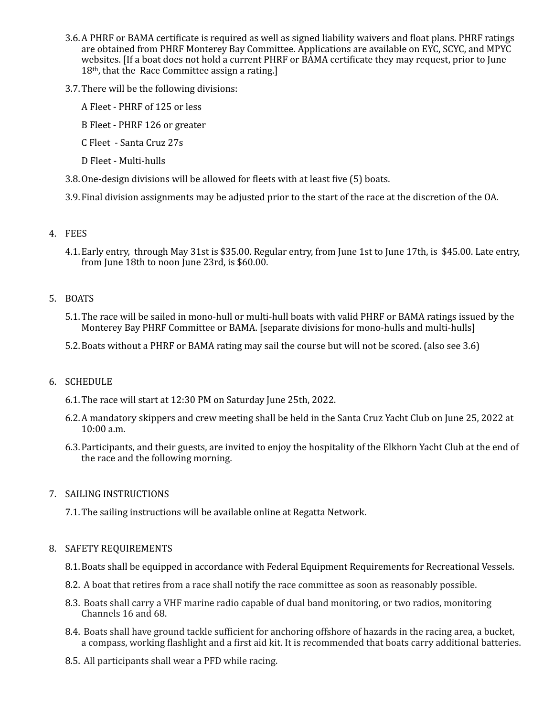- 3.6. A PHRF or BAMA certificate is required as well as signed liability waivers and float plans. PHRF ratings are obtained from PHRF Monterey Bay Committee. Applications are available on EYC, SCYC, and MPYC websites. If a boat does not hold a current PHRF or BAMA certificate they may request, prior to June  $18<sup>th</sup>$ , that the Race Committee assign a rating.]
- 3.7. There will be the following divisions:
	- A Fleet PHRF of 125 or less
	- B Fleet PHRF 126 or greater
	- C Fleet Santa Cruz 27s
	- D Fleet Multi-hulls
- 3.8. One-design divisions will be allowed for fleets with at least five (5) boats.

3.9. Final division assignments may be adjusted prior to the start of the race at the discretion of the OA.

# 4. FEES

4.1. Early entry, through May 31st is \$35.00. Regular entry, from June 1st to June 17th, is \$45.00. Late entry, from June 18th to noon June 23rd, is \$60.00.

# 5. BOATS

- 5.1. The race will be sailed in mono-hull or multi-hull boats with valid PHRF or BAMA ratings issued by the Monterey Bay PHRF Committee or BAMA. [separate divisions for mono-hulls and multi-hulls]
- 5.2. Boats without a PHRF or BAMA rating may sail the course but will not be scored. (also see 3.6)

# 6. SCHEDULE

- 6.1. The race will start at 12:30 PM on Saturday June 25th, 2022.
- 6.2. A mandatory skippers and crew meeting shall be held in the Santa Cruz Yacht Club on June 25, 2022 at 10:00 a.m.
- 6.3. Participants, and their guests, are invited to enjoy the hospitality of the Elkhorn Yacht Club at the end of the race and the following morning.

#### 7. SAILING INSTRUCTIONS

7.1. The sailing instructions will be available online at Regatta Network.

#### 8. SAFETY REQUIREMENTS

- 8.1. Boats shall be equipped in accordance with Federal Equipment Requirements for Recreational Vessels.
- 8.2. A boat that retires from a race shall notify the race committee as soon as reasonably possible.
- 8.3. Boats shall carry a VHF marine radio capable of dual band monitoring, or two radios, monitoring Channels 16 and 68.
- 8.4. Boats shall have ground tackle sufficient for anchoring offshore of hazards in the racing area, a bucket, a compass, working flashlight and a first aid kit. It is recommended that boats carry additional batteries.
- 8.5. All participants shall wear a PFD while racing.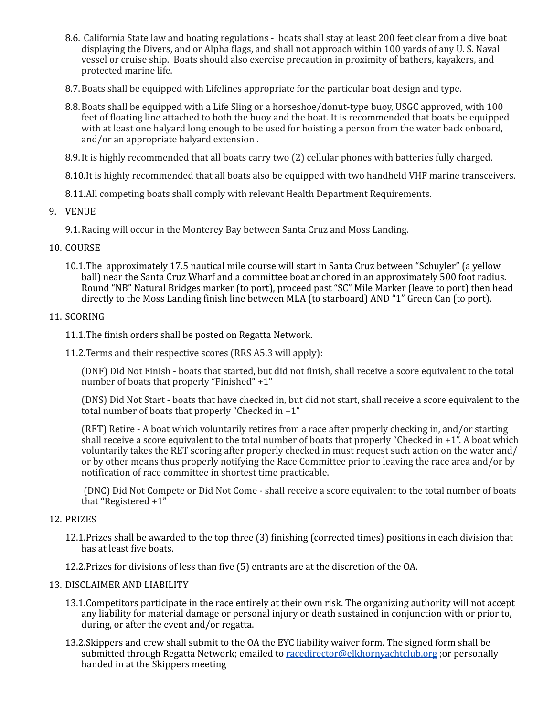- 8.6. California State law and boating regulations boats shall stay at least 200 feet clear from a dive boat displaying the Divers, and or Alpha flags, and shall not approach within 100 yards of any U.S. Naval vessel or cruise ship. Boats should also exercise precaution in proximity of bathers, kayakers, and protected marine life.
- 8.7. Boats shall be equipped with Lifelines appropriate for the particular boat design and type.
- 8.8. Boats shall be equipped with a Life Sling or a horseshoe/donut-type buoy, USGC approved, with 100 feet of floating line attached to both the buoy and the boat. It is recommended that boats be equipped with at least one halyard long enough to be used for hoisting a person from the water back onboard, and/or an appropriate halyard extension.
- 8.9. It is highly recommended that all boats carry two (2) cellular phones with batteries fully charged.
- 8.10.It is highly recommended that all boats also be equipped with two handheld VHF marine transceivers.
- 8.11.All competing boats shall comply with relevant Health Department Requirements.
- 9. VENUE
	- 9.1. Racing will occur in the Monterey Bay between Santa Cruz and Moss Landing.

#### 10. COURSE

10.1.The approximately 17.5 nautical mile course will start in Santa Cruz between "Schuyler" (a yellow ball) near the Santa Cruz Wharf and a committee boat anchored in an approximately 500 foot radius. Round "NB" Natural Bridges marker (to port), proceed past "SC" Mile Marker (leave to port) then head directly to the Moss Landing finish line between MLA (to starboard) AND "1" Green Can (to port).

#### 11. SCORING

- 11.1.The finish orders shall be posted on Regatta Network.
- 11.2. Terms and their respective scores (RRS A5.3 will apply):

(DNF) Did Not Finish - boats that started, but did not finish, shall receive a score equivalent to the total number of boats that properly "Finished"  $+1$ "

(DNS) Did Not Start - boats that have checked in, but did not start, shall receive a score equivalent to the total number of boats that properly "Checked in  $+1$ "

(RET) Retire - A boat which voluntarily retires from a race after properly checking in, and/or starting shall receive a score equivalent to the total number of boats that properly "Checked in  $+1$ ". A boat which voluntarily takes the RET scoring after properly checked in must request such action on the water and/ or by other means thus properly notifying the Race Committee prior to leaving the race area and/or by notification of race committee in shortest time practicable.

(DNC) Did Not Compete or Did Not Come - shall receive a score equivalent to the total number of boats that "Registered  $+1$ "

#### 12. PRIZES

12.1.Prizes shall be awarded to the top three (3) finishing (corrected times) positions in each division that has at least five boats.

12.2. Prizes for divisions of less than five (5) entrants are at the discretion of the OA.

# 13. DISCLAIMER AND LIABILITY

- 13.1.Competitors participate in the race entirely at their own risk. The organizing authority will not accept any liability for material damage or personal injury or death sustained in conjunction with or prior to, during, or after the event and/or regatta.
- 13.2.Skippers and crew shall submit to the OA the EYC liability waiver form. The signed form shall be submitted through Regatta Network; emailed to racedirector@elkhornyachtclub.org : or personally handed in at the Skippers meeting